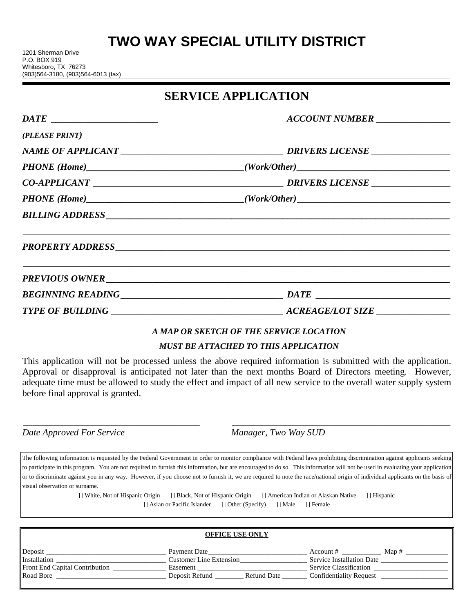# **TWO WAY SPECIAL UTILITY DISTRICT**

### **SERVICE APPLICATION**

|                | ACCOUNT NUMBER   |  |
|----------------|------------------|--|
| (PLEASE PRINT) |                  |  |
|                |                  |  |
|                |                  |  |
|                |                  |  |
|                |                  |  |
|                |                  |  |
|                | PROPERTY ADDRESS |  |
|                | PREVIOUS OWNER   |  |
|                |                  |  |
|                |                  |  |

# *A MAP OR SKETCH OF THE SERVICE LOCATION*

### *MUST BE ATTACHED TO THIS APPLICATION*

This application will not be processed unless the above required information is submitted with the application. Approval or disapproval is anticipated not later than the next months Board of Directors meeting. However, adequate time must be allowed to study the effect and impact of all new service to the overall water supply system before final approval is granted.

\_\_\_\_\_\_\_\_\_\_\_\_\_\_\_\_\_\_\_\_\_\_\_\_\_\_\_\_\_\_\_\_\_\_\_\_\_\_ \_\_\_\_\_\_\_\_\_\_\_\_\_\_\_\_\_\_\_\_\_\_\_\_\_\_\_\_\_\_\_\_\_\_\_\_\_\_\_\_\_\_\_\_\_\_\_

*Date Approved For Service Manager, Two Way SUD*

The following information is requested by the Federal Government in order to monitor compliance with Federal laws prohibiting discrimination against applicants seeking to participate in this program. You are not required to furnish this information, but are encouraged to do so. This information will not be used in evaluating your application or to discriminate against you in any way. However, if you choose not to furnish it, we are required to note the race/national origin of individual applicants on the basis of visual observation or surname.

> [] White, Not of Hispanic Origin [] Black, Not of Hispanic Origin [] American Indian or Alaskan Native [] Hispanic [] Asian or Pacific Islander [] Other (Specify) [] Male [] Female

|                                | <b>OFFICE COLOTER</b>          |                                  |
|--------------------------------|--------------------------------|----------------------------------|
| Deposit                        | Payment Date                   | Map #<br>Account #               |
| <b>Installation</b>            | <b>Customer Line Extension</b> | <b>Service Installation Date</b> |
| Front End Capital Contribution | Easement                       | Service Classification           |
| Road Bore                      | Deposit Refund<br>Refund Date  | <b>Confidentiality Request</b>   |
|                                |                                |                                  |

**OFFICE USE ONLY**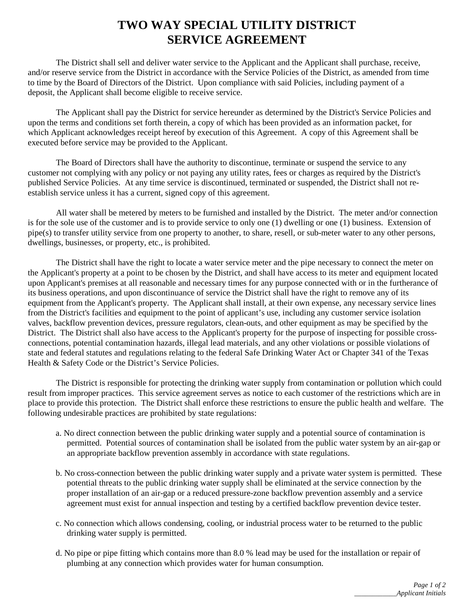### **TWO WAY SPECIAL UTILITY DISTRICT SERVICE AGREEMENT**

The District shall sell and deliver water service to the Applicant and the Applicant shall purchase, receive, and/or reserve service from the District in accordance with the Service Policies of the District, as amended from time to time by the Board of Directors of the District. Upon compliance with said Policies, including payment of a deposit, the Applicant shall become eligible to receive service.

The Applicant shall pay the District for service hereunder as determined by the District's Service Policies and upon the terms and conditions set forth therein, a copy of which has been provided as an information packet, for which Applicant acknowledges receipt hereof by execution of this Agreement. A copy of this Agreement shall be executed before service may be provided to the Applicant.

The Board of Directors shall have the authority to discontinue, terminate or suspend the service to any customer not complying with any policy or not paying any utility rates, fees or charges as required by the District's published Service Policies. At any time service is discontinued, terminated or suspended, the District shall not reestablish service unless it has a current, signed copy of this agreement.

All water shall be metered by meters to be furnished and installed by the District. The meter and/or connection is for the sole use of the customer and is to provide service to only one (1) dwelling or one (1) business. Extension of pipe(s) to transfer utility service from one property to another, to share, resell, or sub-meter water to any other persons, dwellings, businesses, or property, etc., is prohibited.

The District shall have the right to locate a water service meter and the pipe necessary to connect the meter on the Applicant's property at a point to be chosen by the District, and shall have access to its meter and equipment located upon Applicant's premises at all reasonable and necessary times for any purpose connected with or in the furtherance of its business operations, and upon discontinuance of service the District shall have the right to remove any of its equipment from the Applicant's property. The Applicant shall install, at their own expense, any necessary service lines from the District's facilities and equipment to the point of applicant's use, including any customer service isolation valves, backflow prevention devices, pressure regulators, clean-outs, and other equipment as may be specified by the District. The District shall also have access to the Applicant's property for the purpose of inspecting for possible crossconnections, potential contamination hazards, illegal lead materials, and any other violations or possible violations of state and federal statutes and regulations relating to the federal Safe Drinking Water Act or Chapter 341 of the Texas Health & Safety Code or the District's Service Policies.

The District is responsible for protecting the drinking water supply from contamination or pollution which could result from improper practices. This service agreement serves as notice to each customer of the restrictions which are in place to provide this protection. The District shall enforce these restrictions to ensure the public health and welfare. The following undesirable practices are prohibited by state regulations:

- a. No direct connection between the public drinking water supply and a potential source of contamination is permitted. Potential sources of contamination shall be isolated from the public water system by an air-gap or an appropriate backflow prevention assembly in accordance with state regulations.
- b. No cross-connection between the public drinking water supply and a private water system is permitted. These potential threats to the public drinking water supply shall be eliminated at the service connection by the proper installation of an air-gap or a reduced pressure-zone backflow prevention assembly and a service agreement must exist for annual inspection and testing by a certified backflow prevention device tester.
- c. No connection which allows condensing, cooling, or industrial process water to be returned to the public drinking water supply is permitted.
- d. No pipe or pipe fitting which contains more than 8.0 % lead may be used for the installation or repair of plumbing at any connection which provides water for human consumption.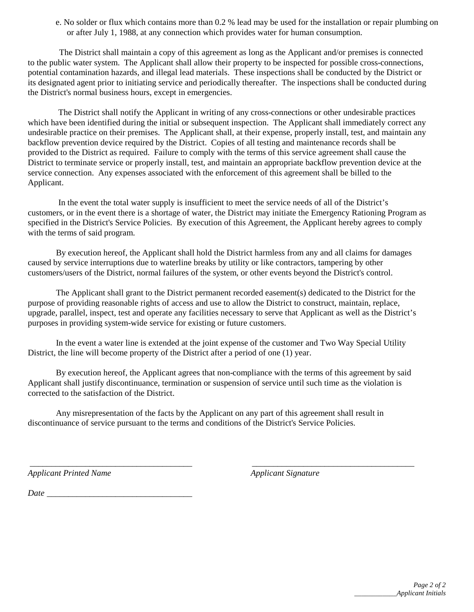e. No solder or flux which contains more than 0.2 % lead may be used for the installation or repair plumbing on or after July 1, 1988, at any connection which provides water for human consumption.

The District shall maintain a copy of this agreement as long as the Applicant and/or premises is connected to the public water system. The Applicant shall allow their property to be inspected for possible cross-connections, potential contamination hazards, and illegal lead materials. These inspections shall be conducted by the District or its designated agent prior to initiating service and periodically thereafter. The inspections shall be conducted during the District's normal business hours, except in emergencies.

The District shall notify the Applicant in writing of any cross-connections or other undesirable practices which have been identified during the initial or subsequent inspection. The Applicant shall immediately correct any undesirable practice on their premises. The Applicant shall, at their expense, properly install, test, and maintain any backflow prevention device required by the District. Copies of all testing and maintenance records shall be provided to the District as required. Failure to comply with the terms of this service agreement shall cause the District to terminate service or properly install, test, and maintain an appropriate backflow prevention device at the service connection. Any expenses associated with the enforcement of this agreement shall be billed to the Applicant.

In the event the total water supply is insufficient to meet the service needs of all of the District's customers, or in the event there is a shortage of water, the District may initiate the Emergency Rationing Program as specified in the District's Service Policies. By execution of this Agreement, the Applicant hereby agrees to comply with the terms of said program.

By execution hereof, the Applicant shall hold the District harmless from any and all claims for damages caused by service interruptions due to waterline breaks by utility or like contractors, tampering by other customers/users of the District, normal failures of the system, or other events beyond the District's control.

The Applicant shall grant to the District permanent recorded easement(s) dedicated to the District for the purpose of providing reasonable rights of access and use to allow the District to construct, maintain, replace, upgrade, parallel, inspect, test and operate any facilities necessary to serve that Applicant as well as the District's purposes in providing system-wide service for existing or future customers.

In the event a water line is extended at the joint expense of the customer and Two Way Special Utility District, the line will become property of the District after a period of one (1) year.

By execution hereof, the Applicant agrees that non-compliance with the terms of this agreement by said Applicant shall justify discontinuance, termination or suspension of service until such time as the violation is corrected to the satisfaction of the District.

 *\_\_\_\_\_\_\_\_\_\_\_\_\_\_\_\_\_\_\_\_\_\_\_\_\_\_\_\_\_\_\_\_\_\_\_\_\_\_ \_\_\_\_\_\_\_\_\_\_\_\_\_\_\_\_\_\_\_\_\_\_\_\_\_\_\_\_\_\_\_\_\_\_\_\_\_\_* 

Any misrepresentation of the facts by the Applicant on any part of this agreement shall result in discontinuance of service pursuant to the terms and conditions of the District's Service Policies.

*Applicant Printed Name* **Applicant Signature** *Applicant Signature Applicant Signature* 

*Date* \_\_\_\_\_\_\_\_\_\_\_\_\_\_\_\_\_\_\_\_\_\_\_\_\_\_\_\_\_\_\_\_\_\_